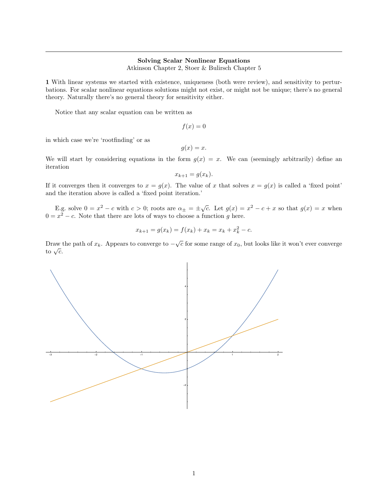## Solving Scalar Nonlinear Equations

Atkinson Chapter 2, Stoer & Bulirsch Chapter 5

1 With linear systems we started with existence, uniqueness (both were review), and sensitivity to perturbations. For scalar nonlinear equations solutions might not exist, or might not be unique; there's no general theory. Naturally there's no general theory for sensitivity either.

Notice that any scalar equation can be written as

 $f(x) = 0$ 

in which case we're 'rootfinding' or as

 $q(x) = x$ .

We will start by considering equations in the form  $g(x) = x$ . We can (seemingly arbitrarily) define an iteration

$$
x_{k+1} = g(x_k).
$$

If it converges then it converges to  $x = g(x)$ . The value of x that solves  $x = g(x)$  is called a 'fixed point' and the iteration above is called a 'fixed point iteration.'

E.g. solve  $0 = x^2 - c$  with  $c > 0$ ; roots are  $\alpha_{\pm} = \pm \sqrt{c}$ . Let  $g(x) = x^2 - c + x$  so that  $g(x) = x$  when  $0 = x^2 - c$ . Note that there are lots of ways to choose a function g here.

$$
x_{k+1} = g(x_k) = f(x_k) + x_k = x_k + x_k^2 - c.
$$

Draw the path of  $x_k$ . Appears to converge to  $-\sqrt{c}$  for some range of  $x_0$ , but looks like it won't ever converge  $\frac{\text{max}}{\text{to } \sqrt{c}}$ .

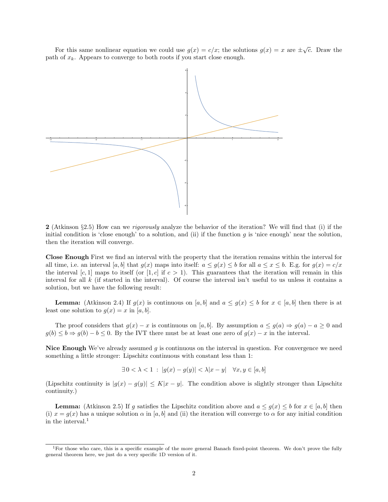For this same nonlinear equation we could use  $g(x) = c/x$ ; the solutions  $g(x) = x$  are  $\pm \sqrt{c}$ . Draw the path of  $x_k$ . Appears to converge to both roots if you start close enough.



2 (Atkinson §2.5) How can we *rigorously* analyze the behavior of the iteration? We will find that (i) if the initial condition is 'close enough' to a solution, and (ii) if the function g is 'nice enough' near the solution, then the iteration will converge.

Close Enough First we find an interval with the property that the iteration remains within the interval for all time, i.e. an interval [a, b] that  $g(x)$  maps into itself:  $a \leq g(x) \leq b$  for all  $a \leq x \leq b$ . E.g. for  $g(x) = c/x$ the interval [c, 1] maps to itself (or [1, c] if  $c > 1$ ). This guarantees that the iteration will remain in this interval for all k (if started in the interval). Of course the interval isn't useful to us unless it contains a solution, but we have the following result:

**Lemma:** (Atkinson 2.4) If  $g(x)$  is continuous on [a, b] and  $a \leq g(x) \leq b$  for  $x \in [a, b]$  then there is at least one solution to  $g(x) = x$  in [a, b].

The proof considers that  $g(x) - x$  is continuous on [a, b]. By assumption  $a \leq g(a) \Rightarrow g(a) - a \geq 0$  and  $g(b) \leq b \Rightarrow g(b) - b \leq 0$ . By the IVT there must be at least one zero of  $g(x) - x$  in the interval.

Nice Enough We've already assumed  $g$  is continuous on the interval in question. For convergence we need something a little stronger: Lipschitz continuous with constant less than 1:

$$
\exists 0 < \lambda < 1 \; : \; |g(x) - g(y)| < \lambda |x - y| \quad \forall x, y \in [a, b]
$$

(Lipschitz continuity is  $|g(x) - g(y)| \le K|x - y|$ . The condition above is slightly stronger than Lipschitz continuity.)

**Lemma:** (Atkinson 2.5) If g satisfies the Lipschitz condition above and  $a \leq g(x) \leq b$  for  $x \in [a, b]$  then (i)  $x = g(x)$  has a unique solution  $\alpha$  in [a, b] and (ii) the iteration will converge to  $\alpha$  for any initial condition in the interval.[1](#page-1-0)

<span id="page-1-0"></span><sup>&</sup>lt;sup>1</sup>For those who care, this is a specific example of the more general Banach fixed-point theorem. We don't prove the fully general theorem here, we just do a very specific 1D version of it.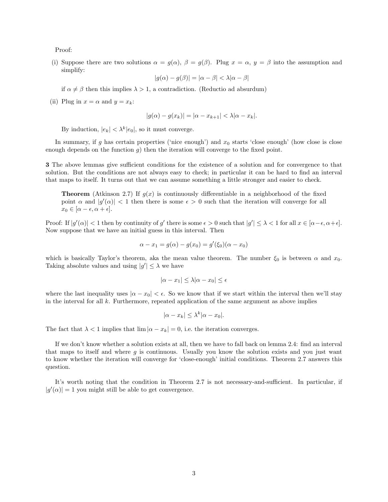Proof:

(i) Suppose there are two solutions  $\alpha = g(\alpha)$ ,  $\beta = g(\beta)$ . Plug  $x = \alpha$ ,  $y = \beta$  into the assumption and simplify:

$$
|g(\alpha) - g(\beta)| = |\alpha - \beta| < \lambda |\alpha - \beta|
$$

if  $\alpha \neq \beta$  then this implies  $\lambda > 1$ , a contradiction. (Reductio ad absurdum)

(ii) Plug in  $x = \alpha$  and  $y = x_k$ :

$$
|g(\alpha) - g(x_k)| = |\alpha - x_{k+1}| < \lambda |\alpha - x_k|.
$$

By induction,  $|e_k| < \lambda^k |e_0|$ , so it must converge.

In summary, if g has certain properties ('nice enough') and  $x_0$  starts 'close enough' (how close is close enough depends on the function  $g$ ) then the iteration will converge to the fixed point.

3 The above lemmas give sufficient conditions for the existence of a solution and for convergence to that solution. But the conditions are not always easy to check; in particular it can be hard to find an interval that maps to itself. It turns out that we can assume something a little stronger and easier to check.

**Theorem** (Atkinson 2.7) If  $q(x)$  is continuously differentiable in a neighborhood of the fixed point  $\alpha$  and  $|g'(\alpha)| < 1$  then there is some  $\epsilon > 0$  such that the iteration will converge for all  $x_0 \in [\alpha - \epsilon, \alpha + \epsilon].$ 

Proof: If  $|g'(\alpha)| < 1$  then by continuity of g' there is some  $\epsilon > 0$  such that  $|g'| \leq \lambda < 1$  for all  $x \in [\alpha - \epsilon, \alpha + \epsilon]$ . Now suppose that we have an initial guess in this interval. Then

$$
\alpha - x_1 = g(\alpha) - g(x_0) = g'(\xi_0)(\alpha - x_0)
$$

which is basically Taylor's theorem, aka the mean value theorem. The number  $\xi_0$  is between  $\alpha$  and  $x_0$ . Taking absolute values and using  $|g'| \leq \lambda$  we have

$$
|\alpha - x_1| \le \lambda |\alpha - x_0| \le \epsilon
$$

where the last inequality uses  $|\alpha - x_0| < \epsilon$ . So we know that if we start within the interval then we'll stay in the interval for all  $k$ . Furthermore, repeated application of the same argument as above implies

$$
|\alpha - x_k| \le \lambda^k |\alpha - x_0|.
$$

The fact that  $\lambda < 1$  implies that  $\lim |\alpha - x_k| = 0$ , i.e. the iteration converges.

If we don't know whether a solution exists at all, then we have to fall back on lemma 2.4: find an interval that maps to itself and where  $g$  is continuous. Usually you know the solution exists and you just want to know whether the iteration will converge for 'close-enough' initial conditions. Theorem 2.7 answers this question.

It's worth noting that the condition in Theorem 2.7 is not necessary-and-sufficient. In particular, if  $|g'(\alpha)| = 1$  you might still be able to get convergence.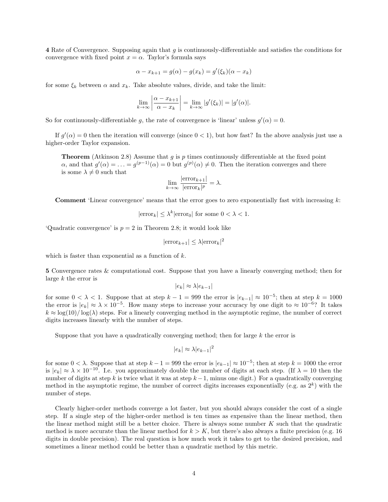4 Rate of Convergence. Supposing again that g is continuously-differentiable and satisfies the conditions for convergence with fixed point  $x = \alpha$ . Taylor's formula says

$$
\alpha - x_{k+1} = g(\alpha) - g(x_k) = g'(\xi_k)(\alpha - x_k)
$$

for some  $\xi_k$  between  $\alpha$  and  $x_k$ . Take absolute values, divide, and take the limit:

$$
\lim_{k \to \infty} \left| \frac{\alpha - x_{k+1}}{\alpha - x_k} \right| = \lim_{k \to \infty} |g'(\xi_k)| = |g'(\alpha)|.
$$

So for continuously-differentiable g, the rate of convergence is 'linear' unless  $g'(\alpha) = 0$ .

If  $g'(\alpha) = 0$  then the iteration will converge (since  $0 < 1$ ), but how fast? In the above analysis just use a higher-order Taylor expansion.

**Theorem** (Atkinson 2.8) Assume that  $q$  is  $p$  times continuously differentiable at the fixed point  $\alpha$ , and that  $g'(\alpha) = \ldots = g^{(p-1)}(\alpha) = 0$  but  $g^{(p)}(\alpha) \neq 0$ . Then the iteration converges and there is some  $\lambda \neq 0$  such that

$$
\lim_{k \to \infty} \frac{|\text{error}_{k+1}|}{|\text{error}_k|^p} = \lambda.
$$

**Comment** 'Linear convergence' means that the error goes to zero exponentially fast with increasing  $k$ :

 $|\text{error}_k| \leq \lambda^k |\text{error}_0|$  for some  $0 < \lambda < 1$ .

'Quadratic convergence' is  $p = 2$  in Theorem 2.8; it would look like

$$
|\text{error}_{k+1}| \le \lambda |\text{error}_k|^2
$$

which is faster than exponential as a function of  $k$ .

5 Convergence rates & computational cost. Suppose that you have a linearly converging method; then for large  $k$  the error is

$$
|e_k| \approx \lambda |e_{k-1}|
$$

for some  $0 < \lambda < 1$ . Suppose that at step  $k - 1 = 999$  the error is  $|e_{k-1}| \approx 10^{-5}$ ; then at step  $k = 1000$ the error is  $|e_k| \approx \lambda \times 10^{-5}$ . How many steps to increase your accuracy by one digit to  $\approx 10^{-6}$ ? It takes  $k \approx \log(10)/\log(\lambda)$  steps. For a linearly converging method in the asymptotic regime, the number of correct digits increases linearly with the number of steps.

Suppose that you have a quadratically converging method; then for large  $k$  the error is

$$
|e_k| \approx \lambda |e_{k-1}|^2
$$

for some  $0 < \lambda$ . Suppose that at step  $k - 1 = 999$  the error is  $|e_{k-1}| \approx 10^{-5}$ ; then at step  $k = 1000$  the error is  $|e_k| \approx \lambda \times 10^{-10}$ . I.e. you approximately double the number of digits at each step. (If  $\lambda = 10$  then the number of digits at step k is twice what it was at step  $k-1$ , minus one digit.) For a quadratically converging method in the asymptotic regime, the number of correct digits increases exponentially (e.g. as  $2^k$ ) with the number of steps.

Clearly higher-order methods converge a lot faster, but you should always consider the cost of a single step. If a single step of the higher-order method is ten times as expensive than the linear method, then the linear method might still be a better choice. There is always some number  $K$  such that the quadratic method is more accurate than the linear method for  $k > K$ , but there's also always a finite precision (e.g. 16) digits in double precision). The real question is how much work it takes to get to the desired precision, and sometimes a linear method could be better than a quadratic method by this metric.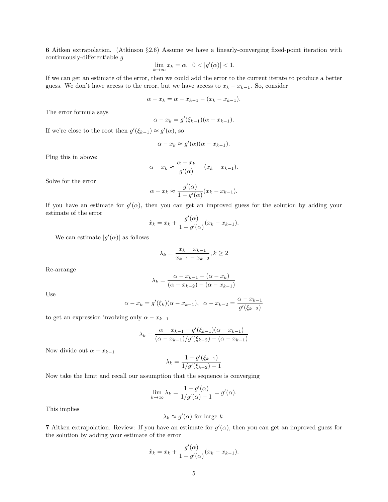6 Aitken extrapolation. (Atkinson §2.6) Assume we have a linearly-converging fixed-point iteration with continuously-differentiable g

$$
\lim_{k \to \infty} x_k = \alpha, \ \ 0 < |g'(\alpha)| < 1.
$$

If we can get an estimate of the error, then we could add the error to the current iterate to produce a better guess. We don't have access to the error, but we have access to  $x_k - x_{k-1}$ . So, consider

$$
\alpha - x_k = \alpha - x_{k-1} - (x_k - x_{k-1}).
$$

The error formula says

$$
\alpha - x_k = g'(\xi_{k-1})(\alpha - x_{k-1}).
$$

If we're close to the root then  $g'(\xi_{k-1}) \approx g'(\alpha)$ , so

$$
\alpha - x_k \approx g'(\alpha)(\alpha - x_{k-1}).
$$

Plug this in above:

$$
\alpha - x_k \approx \frac{\alpha - x_k}{g'(\alpha)} - (x_k - x_{k-1}).
$$

Solve for the error

$$
\alpha - x_k \approx \frac{g'(\alpha)}{1 - g'(\alpha)} (x_k - x_{k-1}).
$$

If you have an estimate for  $g'(\alpha)$ , then you can get an improved guess for the solution by adding your estimate of the error

$$
\hat{x}_k = x_k + \frac{g'(\alpha)}{1 - g'(\alpha)}(x_k - x_{k-1}).
$$

We can estimate  $|g'(\alpha)|$  as follows

$$
\lambda_k=\frac{x_k-x_{k-1}}{x_{k-1}-x_{k-2}}, k\geq 2
$$

Re-arrange

$$
\lambda_k = \frac{\alpha - x_{k-1} - (\alpha - x_k)}{(\alpha - x_{k-2}) - (\alpha - x_{k-1})}
$$

Use

$$
\alpha - x_k = g'(\xi_k)(\alpha - x_{k-1}), \ \alpha - x_{k-2} = \frac{\alpha - x_{k-1}}{g'(\xi_{k-2})}
$$

to get an expression involving only  $\alpha - x_{k-1}$ 

$$
\lambda_k = \frac{\alpha - x_{k-1} - g'(\xi_{k-1})(\alpha - x_{k-1})}{(\alpha - x_{k-1})/g'(\xi_{k-2}) - (\alpha - x_{k-1})}
$$

Now divide out  $\alpha - x_{k-1}$ 

$$
\lambda_k = \frac{1 - g'(\xi_{k-1})}{1/g'(\xi_{k-2}) - 1}
$$

Now take the limit and recall our assumption that the sequence is converging

$$
\lim_{k \to \infty} \lambda_k = \frac{1 - g'(\alpha)}{1/g'(\alpha) - 1} = g'(\alpha).
$$

This implies

$$
\lambda_k \approx g'(\alpha) \text{ for large } k.
$$

**7** Aitken extrapolation. Review: If you have an estimate for  $g'(\alpha)$ , then you can get an improved guess for the solution by adding your estimate of the error

$$
\hat{x}_k = x_k + \frac{g'(\alpha)}{1 - g'(\alpha)}(x_k - x_{k-1}).
$$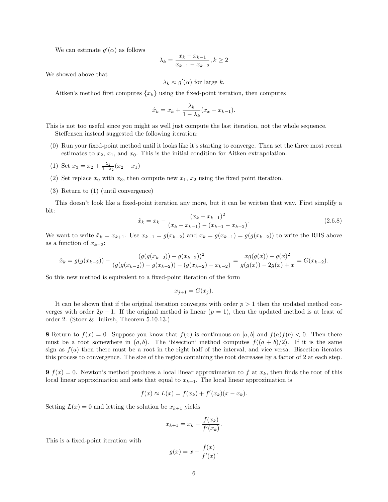We can estimate  $g'(\alpha)$  as follows

$$
\lambda_k = \frac{x_k - x_{k-1}}{x_{k-1} - x_{k-2}}, k \ge 2
$$

We showed above that

$$
\lambda_k \approx g'(\alpha) \text{ for large } k.
$$

Aitken's method first computes  $\{x_k\}$  using the fixed-point iteration, then computes

$$
\hat{x}_k = x_k + \frac{\lambda_k}{1 - \lambda_k} (x_x - x_{k-1}).
$$

This is not too useful since you might as well just compute the last iteration, not the whole sequence. Steffensen instead suggested the following iteration:

- (0) Run your fixed-point method until it looks like it's starting to converge. Then set the three most recent estimates to  $x_2$ ,  $x_1$ , and  $x_0$ . This is the initial condition for Aitken extrapolation.
- (1) Set  $x_3 = x_2 + \frac{\lambda_2}{1 \lambda_2}(x_2 x_1)$
- (2) Set replace  $x_0$  with  $x_3$ , then compute new  $x_1, x_2$  using the fixed point iteration.
- (3) Return to (1) (until convergence)

This doesn't look like a fixed-point iteration any more, but it can be written that way. First simplify a bit:

$$
\hat{x}_k = x_k - \frac{(x_k - x_{k-1})^2}{(x_k - x_{k-1}) - (x_{k-1} - x_{k-2})}.
$$
\n(2.6.8)

We want to write  $\hat{x}_k = x_{k+1}$ . Use  $x_{k-1} = g(x_{k-2})$  and  $x_k = g(x_{k-1}) = g(g(x_{k-2}))$  to write the RHS above as a function of  $x_{k-2}$ :

$$
\hat{x}_k = g(g(x_{k-2})) - \frac{(g(g(x_{k-2})) - g(x_{k-2}))^2}{(g(g(x_{k-2})) - g(x_{k-2})) - (g(x_{k-2}) - x_{k-2})} = \frac{xg(g(x)) - g(x)^2}{g(g(x)) - 2g(x) + x} = G(x_{k-2}).
$$

So this new method is equivalent to a fixed-point iteration of the form

$$
x_{j+1} = G(x_j).
$$

It can be shown that if the original iteration converges with order  $p > 1$  then the updated method converges with order  $2p - 1$ . If the original method is linear  $(p = 1)$ , then the updated method is at least of order 2. (Stoer & Bulirsh, Theorem 5.10.13.)

8 Return to  $f(x) = 0$ . Suppose you know that  $f(x)$  is continuous on [a, b] and  $f(a)f(b) < 0$ . Then there must be a root somewhere in  $(a, b)$ . The 'bisection' method computes  $f((a + b)/2)$ . If it is the same sign as  $f(a)$  then there must be a root in the right half of the interval, and vice versa. Bisection iterates this process to convergence. The size of the region containing the root decreases by a factor of 2 at each step.

**9**  $f(x) = 0$ . Newton's method produces a local linear approximation to f at  $x_k$ , then finds the root of this local linear approximation and sets that equal to  $x_{k+1}$ . The local linear approximation is

$$
f(x) \approx L(x) = f(x_k) + f'(x_k)(x - x_k).
$$

Setting  $L(x) = 0$  and letting the solution be  $x_{k+1}$  yields

$$
x_{k+1} = x_k - \frac{f(x_k)}{f'(x_k)}.
$$

This is a fixed-point iteration with

$$
g(x) = x - \frac{f(x)}{f'(x)}.
$$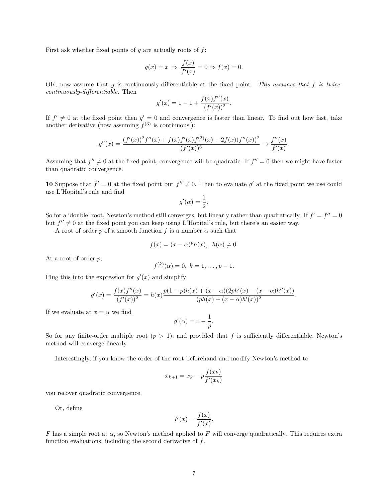First ask whether fixed points of  $q$  are actually roots of  $f$ :

$$
g(x) = x \Rightarrow \frac{f(x)}{f'(x)} = 0 \Rightarrow f(x) = 0.
$$

OK, now assume that  $g$  is continuously-differentiable at the fixed point. This assumes that  $f$  is twicecontinuously-differentiable. Then

$$
g'(x) = 1 - 1 + \frac{f(x)f''(x)}{(f'(x))^2}.
$$

If  $f' \neq 0$  at the fixed point then  $g' = 0$  and convergence is faster than linear. To find out how fast, take another derivative (now assuming  $f^{(3)}$  is continuous!):

$$
g''(x) = \frac{(f'(x))^2 f''(x) + f(x)f'(x)f^{(3)}(x) - 2f(x)(f''(x))^2}{(f'(x))^3} \to \frac{f''(x)}{f'(x)}.
$$

Assuming that  $f'' \neq 0$  at the fixed point, convergence will be quadratic. If  $f'' = 0$  then we might have faster than quadratic convergence.

10 Suppose that  $f' = 0$  at the fixed point but  $f'' \neq 0$ . Then to evaluate g' at the fixed point we use could use L'Hopital's rule and find

$$
g'(\alpha) = \frac{1}{2}.
$$

So for a 'double' root, Newton's method still converges, but linearly rather than quadratically. If  $f' = f'' = 0$ but  $f'' \neq 0$  at the fixed point you can keep using L'Hopital's rule, but there's an easier way.

A root of order p of a smooth function f is a number  $\alpha$  such that

$$
f(x) = (x - \alpha)^p h(x), \ \ h(\alpha) \neq 0.
$$

At a root of order  $p$ ,

$$
f^{(k)}(\alpha) = 0, \ k = 1, \ldots, p - 1.
$$

Plug this into the expression for  $g'(x)$  and simplify:

$$
g'(x) = \frac{f(x)f''(x)}{(f'(x))^2} = h(x)\frac{p(1-p)h(x) + (x-\alpha)(2ph'(x) - (x-\alpha)h''(x))}{(ph(x) + (x-\alpha)h'(x))^2}.
$$

If we evaluate at  $x = \alpha$  we find

$$
g'(\alpha) = 1 - \frac{1}{p}.
$$

So for any finite-order multiple root  $(p > 1)$ , and provided that f is sufficiently differentiable, Newton's method will converge linearly.

Interestingly, if you know the order of the root beforehand and modify Newton's method to

$$
x_{k+1} = x_k - p \frac{f(x_k)}{f'(x_k)}
$$

you recover quadratic convergence.

Or, define

$$
F(x) = \frac{f(x)}{f'(x)}.
$$

F has a simple root at  $\alpha$ , so Newton's method applied to F will converge quadratically. This requires extra function evaluations, including the second derivative of  $f$ .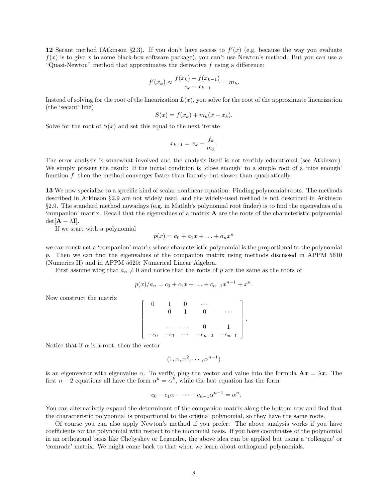12 Secant method (Atkinson §2.3). If you don't have access to  $f'(x)$  (e.g. because the way you evaluate  $f(x)$  is to give x to some black-box software package), you can't use Newton's method. But you can use a "Quasi-Newton" method that approximates the derivative  $f$  using a difference:

$$
f'(x_k) \approx \frac{f(x_k) - f(x_{k-1})}{x_k - x_{k-1}} = m_k.
$$

Instead of solving for the root of the linearization  $L(x)$ , you solve for the root of the approximate linearization (the 'secant' line)

$$
S(x) = f(x_k) + m_k(x - x_k).
$$

Solve for the root of  $S(x)$  and set this equal to the next iterate

$$
x_{k+1} = x_k - \frac{f_k}{m_k}.
$$

The error analysis is somewhat involved and the analysis itself is not terribly educational (see Atkinson). We simply present the result: If the initial condition is 'close enough' to a simple root of a 'nice enough' function f, then the method converges faster than linearly but slower than quadratically.

13 We now specialize to a specific kind of scalar nonlinear equation: Finding polynomial roots. The methods described in Atkinson §2.9 are not widely used, and the widely-used method is not described in Atkinson §2.9. The standard method nowadays (e.g. in Matlab's polynomial root finder) is to find the eigenvalues of a 'companion' matrix. Recall that the eigenvalues of a matrix A are the roots of the characteristic polynomial  $det[\mathbf{A} - \lambda \mathbf{I}].$ 

If we start with a polynomial

$$
p(x) = a_0 + a_1x + \ldots + a_nx^n
$$

we can construct a 'companion' matrix whose characteristic polynomial is the proportional to the polynomial p. Then we can find the eigenvalues of the companion matrix using methods discussed in APPM 5610 (Numerics II) and in APPM 5620: Numerical Linear Algebra.

First assume wlog that  $a_n \neq 0$  and notice that the roots of p are the same as the roots of

$$
p(x)/a_n = c_0 + c_1x + \ldots + c_{n-1}x^{n-1} + x^n.
$$

Now construct the matrix

$$
\left[\begin{array}{cccc} 0 & 1 & 0 & \cdots \\ & 0 & 1 & 0 & \cdots \\ & & \cdots & \cdots & 0 & 1 \\ -c_0 & -c_1 & \cdots & -c_{n-2} & -c_{n-1} \end{array}\right]
$$

.

Notice that if  $\alpha$  is a root, then the vector

$$
(1, \alpha, \alpha^2, \cdots, \alpha^{n-1})
$$

is an eigenvector with eigenvalue  $\alpha$ . To verify, plug the vector and value into the formula  $\mathbf{A}x = \lambda x$ . The first  $n-2$  equations all have the form  $\alpha^k = \alpha^k$ , while the last equation has the form

$$
-c_0 - c_1 \alpha - \dots - c_{n-1} \alpha^{n-1} = \alpha^n.
$$

You can alternatively expand the determinant of the companion matrix along the bottom row and find that the characteristic polynomial is proportional to the original polynomial, so they have the same roots.

Of course you can also apply Newton's method if you prefer. The above analysis works if you have coefficients for the polynomial with respect to the monomial basis. If you have coordinates of the polynomial in an orthogonal basis like Chebyshev or Legendre, the above idea can be applied but using a 'colleague' or 'comrade' matrix. We might come back to that when we learn about orthogonal polynomials.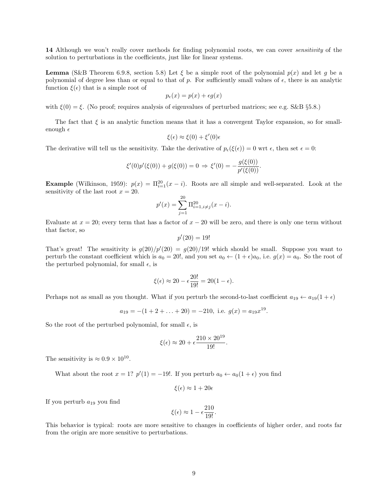14 Although we won't really cover methods for finding polynomial roots, we can cover *sensitivity* of the solution to perturbations in the coefficients, just like for linear systems.

**Lemma** (S&B Theorem 6.9.8, section 5.8) Let  $\xi$  be a simple root of the polynomial  $p(x)$  and let g be a polynomial of degree less than or equal to that of p. For sufficiently small values of  $\epsilon$ , there is an analytic function  $\xi(\epsilon)$  that is a simple root of

$$
p_{\epsilon}(x) = p(x) + \epsilon g(x)
$$

with  $\xi(0) = \xi$ . (No proof; requires analysis of eigenvalues of perturbed matrices; see e.g. S&B §5.8.)

The fact that  $\xi$  is an analytic function means that it has a convergent Taylor expansion, so for smallenough  $\epsilon$ 

$$
\xi(\epsilon) \approx \xi(0) + \xi'(0)\epsilon
$$

The derivative will tell us the sensitivity. Take the derivative of  $p_{\epsilon}(\xi(\epsilon)) = 0$  wrt  $\epsilon$ , then set  $\epsilon = 0$ :

$$
\xi'(0)p'(\xi(0)) + g(\xi(0)) = 0 \Rightarrow \xi'(0) = -\frac{g(\xi(0))}{p'(\xi(0))}.
$$

**Example** (Wilkinson, 1959):  $p(x) = \prod_{i=1}^{20} (x - i)$ . Roots are all simple and well-separated. Look at the sensitivity of the last root  $x = 20$ .

$$
p'(x) = \sum_{j=1}^{20} \Pi_{i=1, i \neq j}^{20}(x - i).
$$

Evaluate at  $x = 20$ ; every term that has a factor of  $x - 20$  will be zero, and there is only one term without that factor, so

$$
p'(20) = 19!
$$

That's great! The sensitivity is  $g(20)/p'(20) = g(20)/19!$  which should be small. Suppose you want to perturb the constant coefficient which is  $a_0 = 20!$ , and you set  $a_0 \leftarrow (1 + \epsilon)a_0$ , i.e.  $g(x) = a_0$ . So the root of the perturbed polynomial, for small  $\epsilon$ , is

$$
\xi(\epsilon) \approx 20 - \epsilon \frac{20!}{19!} = 20(1-\epsilon).
$$

Perhaps not as small as you thought. What if you perturb the second-to-last coefficient  $a_{19} \leftarrow a_{19}(1+\epsilon)$ 

$$
a_{19} = -(1 + 2 + ... + 20) = -210
$$
, i.e.  $g(x) = a_{19}x^{19}$ .

So the root of the perturbed polynomial, for small  $\epsilon$ , is

$$
\xi(\epsilon) \approx 20 + \epsilon \frac{210 \times 20^{19}}{19!}.
$$

The sensitivity is  $\approx 0.9 \times 10^{10}$ .

What about the root  $x = 1$ ?  $p'(1) = -19!$ . If you perturb  $a_0 \leftarrow a_0(1+\epsilon)$  you find

$$
\xi(\epsilon) \approx 1 + 20\epsilon
$$

If you perturb  $a_{19}$  you find

$$
\xi(\epsilon) \approx 1 - \epsilon \frac{210}{19!}.
$$

This behavior is typical: roots are more sensitive to changes in coefficients of higher order, and roots far from the origin are more sensitive to perturbations.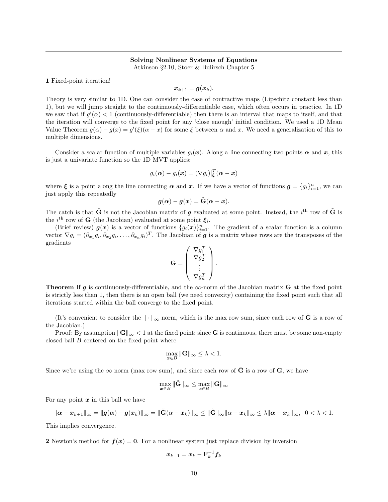## Solving Nonlinear Systems of Equations

Atkinson §2.10, Stoer & Bulirsch Chapter 5

1 Fixed-point iteration!

$$
\boldsymbol{x}_{k+1} = \boldsymbol{g}(\boldsymbol{x}_k).
$$

Theory is very similar to 1D. One can consider the case of contractive maps (Lipschitz constant less than 1), but we will jump straight to the continuously-differentiable case, which often occurs in practice. In 1D we saw that if  $g'(\alpha) < 1$  (continuously-differentiable) then there is an interval that maps to itself, and that the iteration will converge to the fixed point for any 'close enough' initial condition. We used a 1D Mean Value Theorem  $g(\alpha) - g(x) = g'(\xi)(\alpha - x)$  for some  $\xi$  between  $\alpha$  and x. We need a generalization of this to multiple dimensions.

Consider a scalar function of multiple variables  $g_i(x)$ . Along a line connecting two points  $\alpha$  and x, this is just a univariate function so the 1D MVT applies:

$$
g_i(\boldsymbol{\alpha})-g_i(\boldsymbol{x})=(\nabla g_i)|^T_{\boldsymbol{\xi}}(\boldsymbol{\alpha}-\boldsymbol{x})
$$

where  $\xi$  is a point along the line connecting  $\alpha$  and  $x$ . If we have a vector of functions  $g = \{g_i\}_{i=1}^n$ , we can just apply this repeatedly

$$
\boldsymbol{g}(\boldsymbol{\alpha})-\boldsymbol{g}(\boldsymbol{x})=\tilde{\mathbf{G}}(\boldsymbol{\alpha}-\boldsymbol{x}).
$$

The catch is that  $\tilde{G}$  is not the Jacobian matrix of g evaluated at some point. Instead, the i<sup>th</sup> row of  $\tilde{G}$  is the *i*<sup>th</sup> row of **G** (the Jacobian) evaluated at some point  $\xi_i$ .

(Brief review)  $g(x)$  is a vector of functions  $\{g_i(x)\}_{i=1}^n$ . The gradient of a scalar function is a column vector  $\nabla g_i = (\partial_{x_1} g_i, \partial_{x_2} g_i, \dots, \partial_{x_n} g_i)^T$ . The Jacobian of **g** is a matrix whose rows are the transposes of the gradients

$$
\mathbf{G} = \left( \begin{array}{c} \nabla g_1^T \\ \nabla g_2^T \\ \vdots \\ \nabla g_n^T \end{array} \right).
$$

**Theorem** If g is continuously-differentiable, and the  $\infty$ -norm of the Jacobian matrix G at the fixed point is strictly less than 1, then there is an open ball (we need convexity) containing the fixed point such that all iterations started within the ball converge to the fixed point.

(It's convenient to consider the  $\|\cdot\|_{\infty}$  norm, which is the max row sum, since each row of  $\tilde{G}$  is a row of the Jacobian.)

Proof: By assumption  $\|\mathbf{G}\|_{\infty} < 1$  at the fixed point; since G is continuous, there must be some non-empty closed ball  $B$  centered on the fixed point where

$$
\max_{\mathbf{x} \in B} \|\mathbf{G}\|_{\infty} \leq \lambda < 1.
$$

Since we're using the  $\infty$  norm (max row sum), and since each row of  $\tilde{G}$  is a row of  $G$ , we have

$$
\max_{\pmb{x}\in B}\|\tilde{\mathbf{G}}\|_{\infty}\leq\max_{\pmb{x}\in B}\|\mathbf{G}\|_{\infty}
$$

For any point  $x$  in this ball we have

$$
\|\boldsymbol{\alpha}-\boldsymbol{x}_{k+1}\|_\infty=\|\boldsymbol{g}(\boldsymbol{\alpha})-\boldsymbol{g}(\boldsymbol{x}_k)\|_\infty=\|\tilde{\mathbf{G}}(\alpha-\boldsymbol{x}_k)\|_\infty\leq \|\tilde{\mathbf{G}}\|_\infty\|\alpha-\boldsymbol{x}_k\|_\infty\leq \lambda\|\boldsymbol{\alpha}-\boldsymbol{x}_k\|_\infty,\ \ 0<\lambda<1.
$$

This implies convergence.

2 Newton's method for  $f(x) = 0$ . For a nonlinear system just replace division by inversion

$$
\boldsymbol{x}_{k+1} = \boldsymbol{x}_k - \mathbf{F}_k^{-1} \boldsymbol{f}_k
$$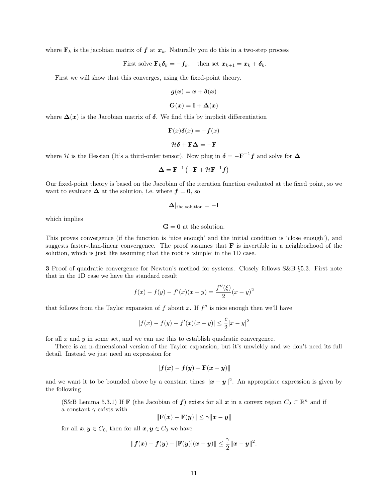where  $\mathbf{F}_k$  is the jacobian matrix of  $f$  at  $x_k$ . Naturally you do this in a two-step process

First solve 
$$
\mathbf{F}_k \delta_k = -\mathbf{f}_k
$$
, then set  $\mathbf{x}_{k+1} = \mathbf{x}_k + \delta_k$ .

First we will show that this converges, using the fixed-point theory.

$$
g(x) = x + \delta(x)
$$
  

$$
G(x) = I + \Delta(x)
$$

where  $\Delta(x)$  is the Jacobian matrix of  $\delta$ . We find this by implicit differentiation

$$
\mathbf{F}(x)\delta(x) = -\mathbf{f}(x)
$$

$$
\mathcal{H}\delta + \mathbf{F}\Delta = -\mathbf{F}
$$

where H is the Hessian (It's a third-order tensor). Now plug in  $\delta = -F^{-1}f$  and solve for  $\Delta$ 

$$
\mathbf{\Delta}=\mathbf{F}^{-1}\left(-\mathbf{F}+\mathcal{H}\mathbf{F}^{-1}\mathbf{f}\right)
$$

Our fixed-point theory is based on the Jacobian of the iteration function evaluated at the fixed point, so we want to evaluate  $\Delta$  at the solution, i.e. where  $f = 0$ , so

$$
\mathbf{\Delta}|_{\text{the solution}} = -\mathbf{I}
$$

which implies

 $G = 0$  at the solution.

This proves convergence (if the function is 'nice enough' and the initial condition is 'close enough'), and suggests faster-than-linear convergence. The proof assumes that  $\bf{F}$  is invertible in a neighborhood of the solution, which is just like assuming that the root is 'simple' in the 1D case.

3 Proof of quadratic convergence for Newton's method for systems. Closely follows S&B §5.3. First note that in the 1D case we have the standard result

$$
f(x) - f(y) - f'(x)(x - y) = \frac{f''(\xi)}{2}(x - y)^2
$$

that follows from the Taylor expansion of  $f$  about  $x$ . If  $f''$  is nice enough then we'll have

$$
|f(x) - f(y) - f'(x)(x - y)| \le \frac{c}{2}|x - y|^2
$$

for all  $x$  and  $y$  in some set, and we can use this to establish quadratic convergence.

There is an n-dimensional version of the Taylor expansion, but it's unwieldy and we don't need its full detail. Instead we just need an expression for

$$
\|\bm{f}(\bm{x})-\bm{f}(\bm{y})-\mathbf{F}(\bm{x}-\bm{y})\|
$$

and we want it to be bounded above by a constant times  $\|\boldsymbol{x} - \boldsymbol{y}\|^2$ . An appropriate expression is given by the following

(S&B Lemma 5.3.1) If **F** (the Jacobian of **f**) exists for all  $x$  in a convex region  $C_0 \subset \mathbb{R}^n$  and if a constant  $\gamma$  exists with

$$
\|\mathbf{F}(\boldsymbol{x}) - \mathbf{F}(\boldsymbol{y})\| \leq \gamma \|\boldsymbol{x} - \boldsymbol{y}\|
$$

for all  $x, y \in C_0$ , then for all  $x, y \in C_0$  we have

$$
||f(x)-f(y)-[\mathbf{F}(y)](x-y)|| \leq \frac{\gamma}{2}||x-y||^2.
$$